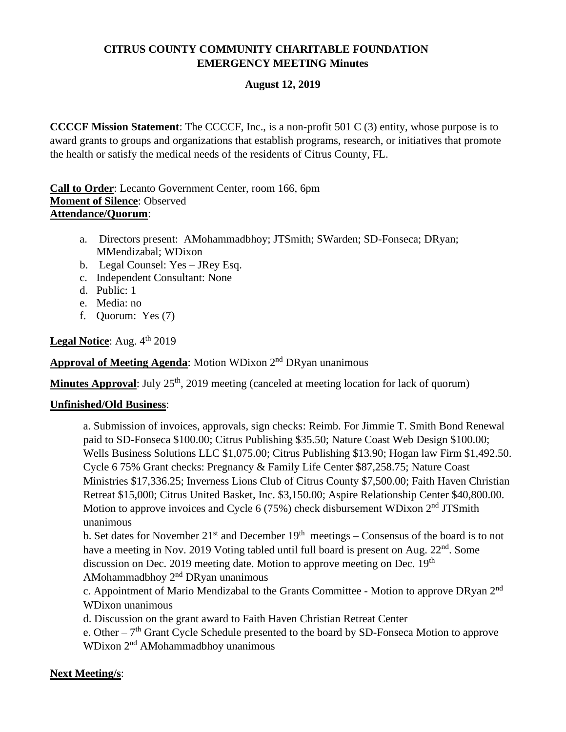## **CITRUS COUNTY COMMUNITY CHARITABLE FOUNDATION EMERGENCY MEETING Minutes**

## **August 12, 2019**

**CCCCF Mission Statement**: The CCCCF, Inc., is a non-profit 501 C (3) entity, whose purpose is to award grants to groups and organizations that establish programs, research, or initiatives that promote the health or satisfy the medical needs of the residents of Citrus County, FL.

**Call to Order**: Lecanto Government Center, room 166, 6pm **Moment of Silence**: Observed **Attendance/Quorum**:

- a. Directors present: AMohammadbhoy; JTSmith; SWarden; SD-Fonseca; DRyan; MMendizabal; WDixon
- b. Legal Counsel: Yes JRey Esq.
- c. Independent Consultant: None
- d. Public: 1
- e. Media: no
- f. Quorum: Yes (7)

Legal Notice: Aug. 4<sup>th</sup> 2019

**Approval of Meeting Agenda**: Motion WDixon 2nd DRyan unanimous

**Minutes Approval**: July 25<sup>th</sup>, 2019 meeting (canceled at meeting location for lack of quorum)

## **Unfinished/Old Business**:

a. Submission of invoices, approvals, sign checks: Reimb. For Jimmie T. Smith Bond Renewal paid to SD-Fonseca \$100.00; Citrus Publishing \$35.50; Nature Coast Web Design \$100.00; Wells Business Solutions LLC \$1,075.00; Citrus Publishing \$13.90; Hogan law Firm \$1,492.50. Cycle 6 75% Grant checks: Pregnancy & Family Life Center \$87,258.75; Nature Coast Ministries \$17,336.25; Inverness Lions Club of Citrus County \$7,500.00; Faith Haven Christian Retreat \$15,000; Citrus United Basket, Inc. \$3,150.00; Aspire Relationship Center \$40,800.00. Motion to approve invoices and Cycle  $6(75%)$  check disbursement WDixon  $2<sup>nd</sup> JTSmith$ unanimous

b. Set dates for November  $21^{st}$  and December  $19^{th}$  meetings – Consensus of the board is to not have a meeting in Nov. 2019 Voting tabled until full board is present on Aug. 22<sup>nd</sup>. Some discussion on Dec. 2019 meeting date. Motion to approve meeting on Dec. 19<sup>th</sup> AMohammadbhoy 2nd DRyan unanimous

c. Appointment of Mario Mendizabal to the Grants Committee - Motion to approve DRyan 2<sup>nd</sup> WDixon unanimous

d. Discussion on the grant award to Faith Haven Christian Retreat Center

e. Other  $-7<sup>th</sup>$  Grant Cycle Schedule presented to the board by SD-Fonseca Motion to approve WDixon 2<sup>nd</sup> AMohammadbhoy unanimous

## **Next Meeting/s**: